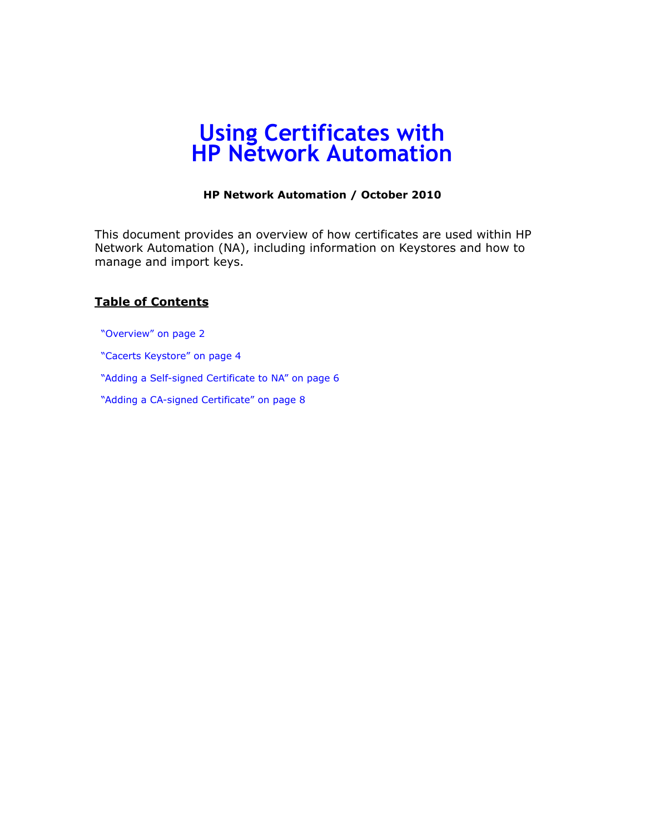# **Using Certificates with HP Network Automation**

#### **HP Network Automation / October 2010**

This document provides an overview of how certificates are used within HP Network Automation (NA), including information on Keystores and how to manage and import keys.

### **Table of Contents**

["Overview" on page 2](#page-1-0)

["Cacerts Keystore" on page 4](#page-3-0)

["Adding a Self-signed Certificate to NA" on page 6](#page-5-0)

["Adding a CA-signed Certificate" on page 8](#page-7-0)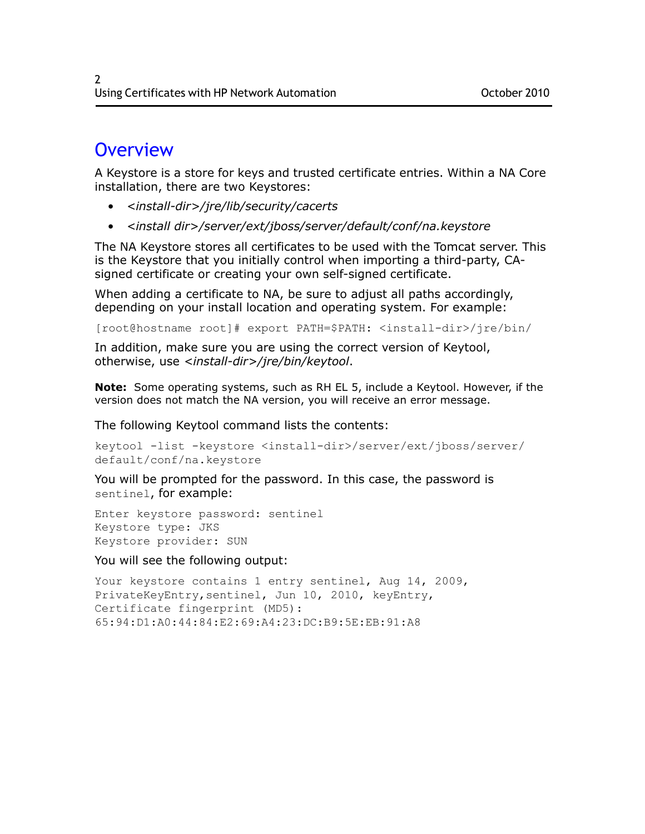## <span id="page-1-0"></span>**Overview**

A Keystore is a store for keys and trusted certificate entries. Within a NA Core installation, there are two Keystores:

- *<install-dir>/jre/lib/security/cacerts*
- *<install dir>/server/ext/jboss/server/default/conf/na.keystore*

The NA Keystore stores all certificates to be used with the Tomcat server. This is the Keystore that you initially control when importing a third-party, CAsigned certificate or creating your own self-signed certificate.

When adding a certificate to NA, be sure to adjust all paths accordingly, depending on your install location and operating system. For example:

[root@hostname root]# export PATH=\$PATH: <install-dir>/jre/bin/

In addition, make sure you are using the correct version of Keytool, otherwise, use *<install-dir>/jre/bin/keytool*.

**Note:** Some operating systems, such as RH EL 5, include a Keytool. However, if the version does not match the NA version, you will receive an error message.

The following Keytool command lists the contents:

```
keytool -list -keystore <install-dir>/server/ext/jboss/server/
default/conf/na.keystore
```
You will be prompted for the password. In this case, the password is sentinel, for example:

Enter keystore password: sentinel Keystore type: JKS Keystore provider: SUN

You will see the following output:

```
Your keystore contains 1 entry sentinel, Aug 14, 2009,
PrivateKeyEntry,sentinel, Jun 10, 2010, keyEntry,
Certificate fingerprint (MD5): 
65:94:D1:A0:44:84:E2:69:A4:23:DC:B9:5E:EB:91:A8
```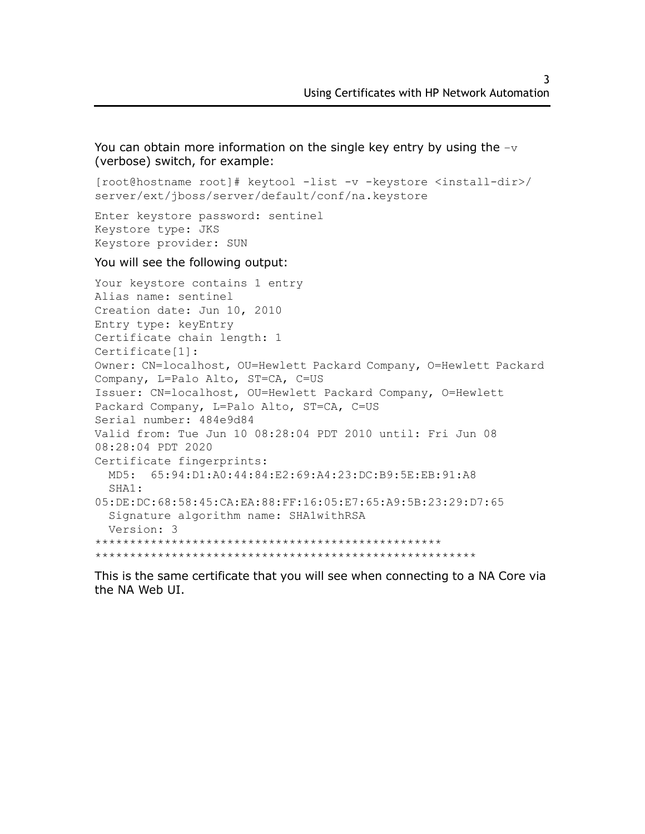You can obtain more information on the single key entry by using the  $-v$ (verbose) switch, for example:

```
[root@hostname root]# keytool -list -v -keystore <install-dir>/
server/ext/jboss/server/default/conf/na.keystore
```
Enter keystore password: sentinel Keystore type: JKS Keystore provider: SUN

You will see the following output:

```
Your keystore contains 1 entry
Alias name: sentinel
Creation date: Jun 10, 2010
Entry type: keyEntry
Certificate chain length: 1
Certificate[1]:
Owner: CN=localhost, OU=Hewlett Packard Company, O=Hewlett Packard 
Company, L=Palo Alto, ST=CA, C=US
Issuer: CN=localhost, OU=Hewlett Packard Company, O=Hewlett 
Packard Company, L=Palo Alto, ST=CA, C=US
Serial number: 484e9d84
Valid from: Tue Jun 10 08:28:04 PDT 2010 until: Fri Jun 08 
08:28:04 PDT 2020
Certificate fingerprints:
   MD5: 65:94:D1:A0:44:84:E2:69:A4:23:DC:B9:5E:EB:91:A8
   SHA1:
05:DE:DC:68:58:45:CA:EA:88:FF:16:05:E7:65:A9:5B:23:29:D7:65
   Signature algorithm name: SHA1withRSA
   Version: 3
**************************************************
*******************************************************
```
This is the same certificate that you will see when connecting to a NA Core via the NA Web UI.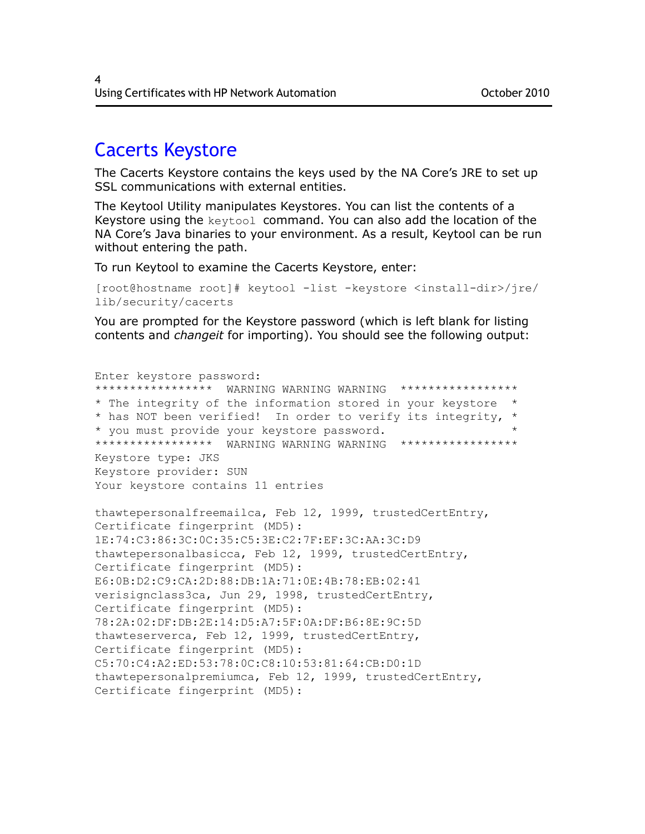### <span id="page-3-0"></span>Cacerts Keystore

The Cacerts Keystore contains the keys used by the NA Core's JRE to set up SSL communications with external entities.

The Keytool Utility manipulates Keystores. You can list the contents of a Keystore using the keytool command. You can also add the location of the NA Core's Java binaries to your environment. As a result, Keytool can be run without entering the path.

To run Keytool to examine the Cacerts Keystore, enter:

```
[root@hostname root]# keytool -list -keystore <install-dir>/jre/
lib/security/cacerts
```
You are prompted for the Keystore password (which is left blank for listing contents and *changeit* for importing). You should see the following output:

```
Enter keystore password:
****************** WARNING WARNING WARNING *****************
* The integrity of the information stored in your keystore *
* has NOT been verified! In order to verify its integrity, *
* you must provide your keystore password. *
***************** WARNING WARNING WARNING *****************
Keystore type: JKS
Keystore provider: SUN
Your keystore contains 11 entries
thawtepersonalfreemailca, Feb 12, 1999, trustedCertEntry,
Certificate fingerprint (MD5):
1E:74:C3:86:3C:0C:35:C5:3E:C2:7F:EF:3C:AA:3C:D9
thawtepersonalbasicca, Feb 12, 1999, trustedCertEntry,
Certificate fingerprint (MD5): 
E6:0B:D2:C9:CA:2D:88:DB:1A:71:0E:4B:78:EB:02:41
verisignclass3ca, Jun 29, 1998, trustedCertEntry,
Certificate fingerprint (MD5): 
78:2A:02:DF:DB:2E:14:D5:A7:5F:0A:DF:B6:8E:9C:5D
thawteserverca, Feb 12, 1999, trustedCertEntry,
Certificate fingerprint (MD5): 
C5:70:C4:A2:ED:53:78:0C:C8:10:53:81:64:CB:D0:1D
thawtepersonalpremiumca, Feb 12, 1999, trustedCertEntry,
Certificate fingerprint (MD5):
```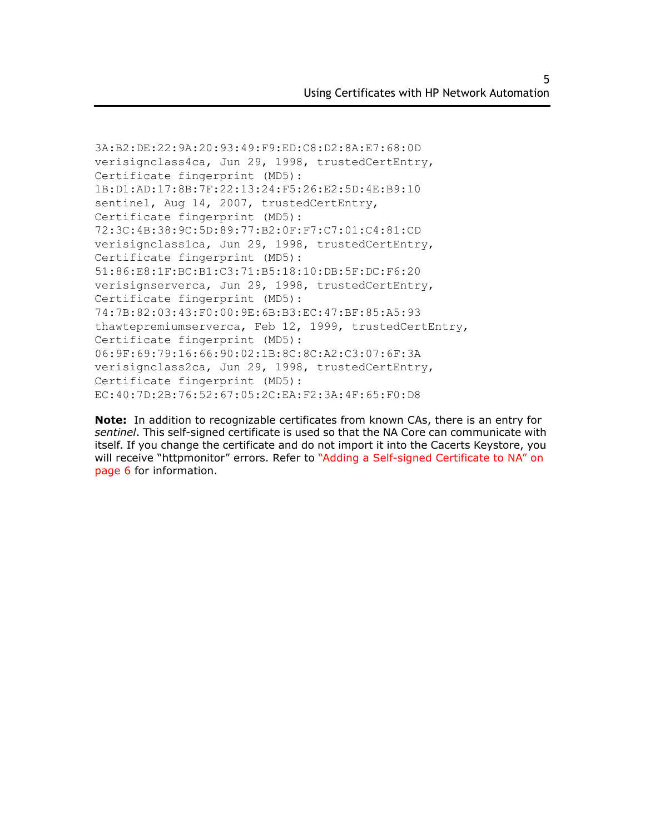```
3A:B2:DE:22:9A:20:93:49:F9:ED:C8:D2:8A:E7:68:0D
verisignclass4ca, Jun 29, 1998, trustedCertEntry,
Certificate fingerprint (MD5): 
1B:D1:AD:17:8B:7F:22:13:24:F5:26:E2:5D:4E:B9:10
sentinel, Aug 14, 2007, trustedCertEntry,
Certificate fingerprint (MD5): 
72:3C:4B:38:9C:5D:89:77:B2:0F:F7:C7:01:C4:81:CD
verisignclass1ca, Jun 29, 1998, trustedCertEntry,
Certificate fingerprint (MD5): 
51:86:E8:1F:BC:B1:C3:71:B5:18:10:DB:5F:DC:F6:20
verisignserverca, Jun 29, 1998, trustedCertEntry,
Certificate fingerprint (MD5): 
74:7B:82:03:43:F0:00:9E:6B:B3:EC:47:BF:85:A5:93
thawtepremiumserverca, Feb 12, 1999, trustedCertEntry,
Certificate fingerprint (MD5): 
06:9F:69:79:16:66:90:02:1B:8C:8C:A2:C3:07:6F:3A
verisignclass2ca, Jun 29, 1998, trustedCertEntry,
Certificate fingerprint (MD5): 
EC:40:7D:2B:76:52:67:05:2C:EA:F2:3A:4F:65:F0:D8
```
**Note:** In addition to recognizable certificates from known CAs, there is an entry for *sentinel*. This self-signed certificate is used so that the NA Core can communicate with itself. If you change the certificate and do not import it into the Cacerts Keystore, you will receive "httpmonitor" errors. Refer to ["Adding a Self-signed Certificate to NA" on](#page-5-0)  [page 6](#page-5-0) for information.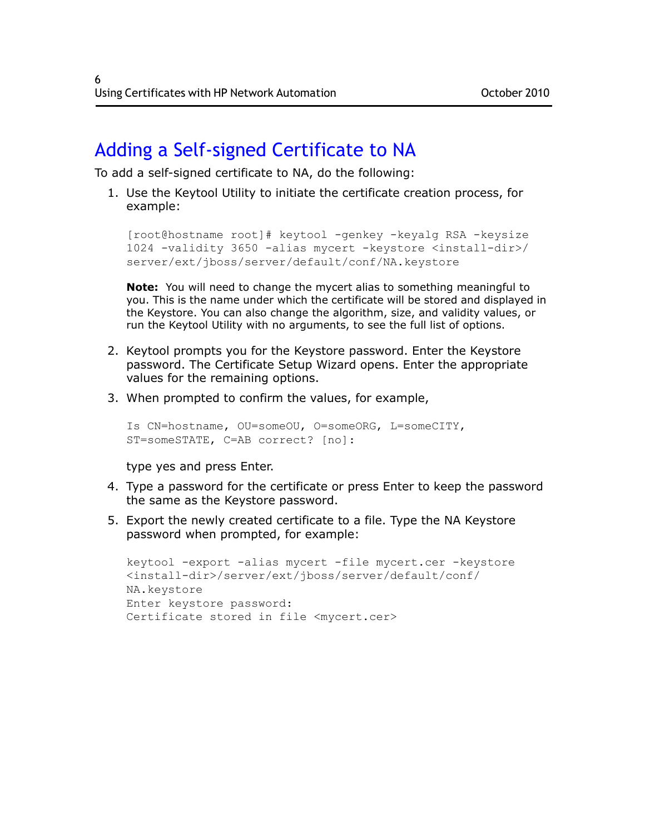## <span id="page-5-0"></span>Adding a Self-signed Certificate to NA

To add a self-signed certificate to NA, do the following:

1. Use the Keytool Utility to initiate the certificate creation process, for example:

```
[root@hostname root]# keytool -genkey -keyalg RSA -keysize 
1024 -validity 3650 -alias mycert -keystore <install-dir>/
server/ext/jboss/server/default/conf/NA.keystore
```
**Note:** You will need to change the mycert alias to something meaningful to you. This is the name under which the certificate will be stored and displayed in the Keystore. You can also change the algorithm, size, and validity values, or run the Keytool Utility with no arguments, to see the full list of options.

- 2. Keytool prompts you for the Keystore password. Enter the Keystore password. The Certificate Setup Wizard opens. Enter the appropriate values for the remaining options.
- 3. When prompted to confirm the values, for example,

```
Is CN=hostname, OU=someOU, O=someORG, L=someCITY, 
ST=someSTATE, C=AB correct? [no]:
```
type yes and press Enter.

- 4. Type a password for the certificate or press Enter to keep the password the same as the Keystore password.
- 5. Export the newly created certificate to a file. Type the NA Keystore password when prompted, for example:

```
keytool -export -alias mycert -file mycert.cer -keystore 
<install-dir>/server/ext/jboss/server/default/conf/
NA.keystore
Enter keystore password:
Certificate stored in file <mycert.cer>
```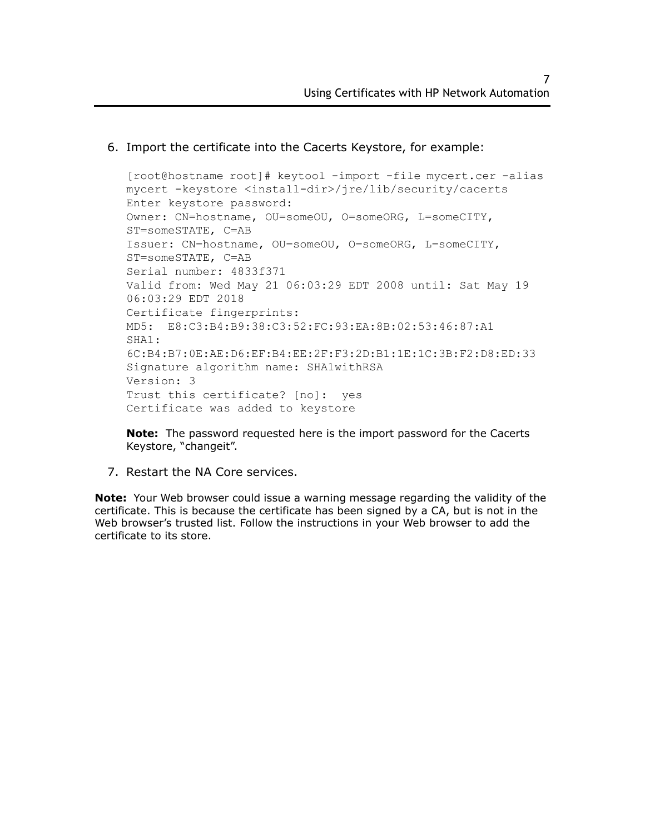### 6. Import the certificate into the Cacerts Keystore, for example:

[root@hostname root]# keytool -import -file mycert.cer -alias mycert -keystore <install-dir>/jre/lib/security/cacerts Enter keystore password: Owner: CN=hostname, OU=someOU, O=someORG, L=someCITY, ST=someSTATE, C=AB Issuer: CN=hostname, OU=someOU, O=someORG, L=someCITY, ST=someSTATE, C=AB Serial number: 4833f371 Valid from: Wed May 21 06:03:29 EDT 2008 until: Sat May 19 06:03:29 EDT 2018 Certificate fingerprints: MD5: E8:C3:B4:B9:38:C3:52:FC:93:EA:8B:02:53:46:87:A1 SHA<sub>1</sub>: 6C:B4:B7:0E:AE:D6:EF:B4:EE:2F:F3:2D:B1:1E:1C:3B:F2:D8:ED:33 Signature algorithm name: SHA1withRSA Version: 3 Trust this certificate? [no]: yes Certificate was added to keystore

**Note:** The password requested here is the import password for the Cacerts Keystore, "changeit".

7. Restart the NA Core services.

**Note:** Your Web browser could issue a warning message regarding the validity of the certificate. This is because the certificate has been signed by a CA, but is not in the Web browser's trusted list. Follow the instructions in your Web browser to add the certificate to its store.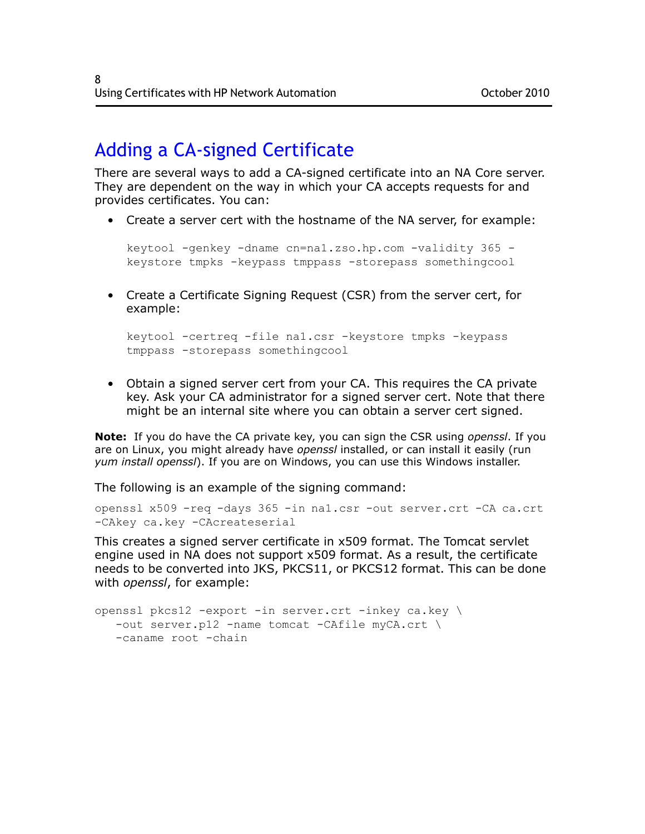## <span id="page-7-0"></span>Adding a CA-signed Certificate

There are several ways to add a CA-signed certificate into an NA Core server. They are dependent on the way in which your CA accepts requests for and provides certificates. You can:

• Create a server cert with the hostname of the NA server, for example:

```
keytool -genkey -dname cn=na1.zso.hp.com -validity 365 -
keystore tmpks -keypass tmppass -storepass somethingcool
```
• Create a Certificate Signing Request (CSR) from the server cert, for example:

```
keytool -certreq -file na1.csr -keystore tmpks -keypass 
tmppass -storepass somethingcool
```
• Obtain a signed server cert from your CA. This requires the CA private key. Ask your CA administrator for a signed server cert. Note that there might be an internal site where you can obtain a server cert signed.

**Note:** If you do have the CA private key, you can sign the CSR using *openssl*. If you are on Linux, you might already have *openssl* installed, or can install it easily (run *yum install openssl*). If you are on Windows, you can use this Windows installer.

The following is an example of the signing command:

```
openssl x509 -req -days 365 -in na1.csr -out server.crt -CA ca.crt 
-CAkey ca.key -CAcreateserial
```
This creates a signed server certificate in x509 format. The Tomcat servlet engine used in NA does not support x509 format. As a result, the certificate needs to be converted into JKS, PKCS11, or PKCS12 format. This can be done with *openssl*, for example:

```
openssl pkcs12 -export -in server.crt -inkey ca.key \
   -out server.p12 -name tomcat -CAfile myCA.crt \
   -caname root -chain
```